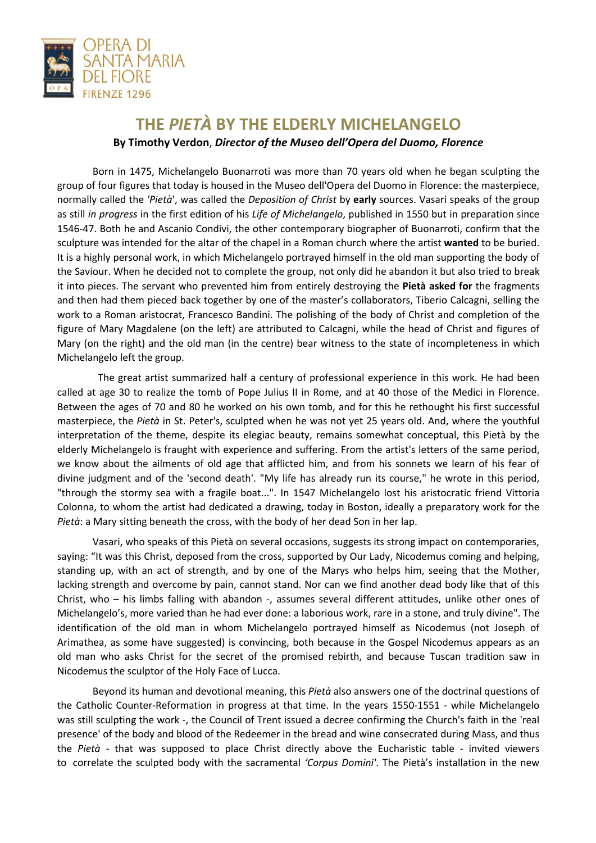

## **THE** *PIETÀ* **BY THE ELDERLY MICHELANGELO By Timothy Verdon**, *Director of the Museo dell'Opera del Duomo, Florence*

Born in 1475, Michelangelo Buonarroti was more than 70 years old when he began sculpting the group of four figures that today is housed in the Museo dell'Opera del Duomo in Florence: the masterpiece, normally called the *'Pietà*', was called the *Deposition of Christ* by **early** sources. Vasari speaks of the group as still *in progress* in the first edition of his *Life of Michelangelo*, published in 1550 but in preparation since 1546-47. Both he and Ascanio Condivi, the other contemporary biographer of Buonarroti, confirm that the sculpture was intended for the altar of the chapel in a Roman church where the artist **wanted** to be buried. It is a highly personal work, in which Michelangelo portrayed himself in the old man supporting the body of the Saviour. When he decided not to complete the group, not only did he abandon it but also tried to break it into pieces. The servant who prevented him from entirely destroying the **Pietà asked for** the fragments and then had them pieced back together by one of the master's collaborators, Tiberio Calcagni, selling the work to a Roman aristocrat, Francesco Bandini. The polishing of the body of Christ and completion of the figure of Mary Magdalene (on the left) are attributed to Calcagni, while the head of Christ and figures of Mary (on the right) and the old man (in the centre) bear witness to the state of incompleteness in which Michelangelo left the group.

 The great artist summarized half a century of professional experience in this work. He had been called at age 30 to realize the tomb of Pope Julius II in Rome, and at 40 those of the Medici in Florence. Between the ages of 70 and 80 he worked on his own tomb, and for this he rethought his first successful masterpiece, the *Pietà* in St. Peter's, sculpted when he was not yet 25 years old. And, where the youthful interpretation of the theme, despite its elegiac beauty, remains somewhat conceptual, this Pietà by the elderly Michelangelo is fraught with experience and suffering. From the artist's letters of the same period, we know about the ailments of old age that afflicted him, and from his sonnets we learn of his fear of divine judgment and of the 'second death'. "My life has already run its course," he wrote in this period, "through the stormy sea with a fragile boat...". In 1547 Michelangelo lost his aristocratic friend Vittoria Colonna, to whom the artist had dedicated a drawing, today in Boston, ideally a preparatory work for the *Pietà*: a Mary sitting beneath the cross, with the body of her dead Son in her lap.

Vasari, who speaks of this Pietà on several occasions, suggests its strong impact on contemporaries, saying: "It was this Christ, deposed from the cross, supported by Our Lady, Nicodemus coming and helping, standing up, with an act of strength, and by one of the Marys who helps him, seeing that the Mother, lacking strength and overcome by pain, cannot stand. Nor can we find another dead body like that of this Christ, who – his limbs falling with abandon -, assumes several different attitudes, unlike other ones of Michelangelo's, more varied than he had ever done: a laborious work, rare in a stone, and truly divine". The identification of the old man in whom Michelangelo portrayed himself as Nicodemus (not Joseph of Arimathea, as some have suggested) is convincing, both because in the Gospel Nicodemus appears as an old man who asks Christ for the secret of the promised rebirth, and because Tuscan tradition saw in Nicodemus the sculptor of the Holy Face of Lucca.

Beyond its human and devotional meaning, this *Pietà* also answers one of the doctrinal questions of the Catholic Counter-Reformation in progress at that time. In the years 1550-1551 - while Michelangelo was still sculpting the work -, the Council of Trent issued a decree confirming the Church's faith in the 'real presence' of the body and blood of the Redeemer in the bread and wine consecrated during Mass, and thus the *Pietà* - that was supposed to place Christ directly above the Eucharistic table - invited viewers to correlate the sculpted body with the sacramental *'Corpus Domini'*. The Pietà's installation in the new